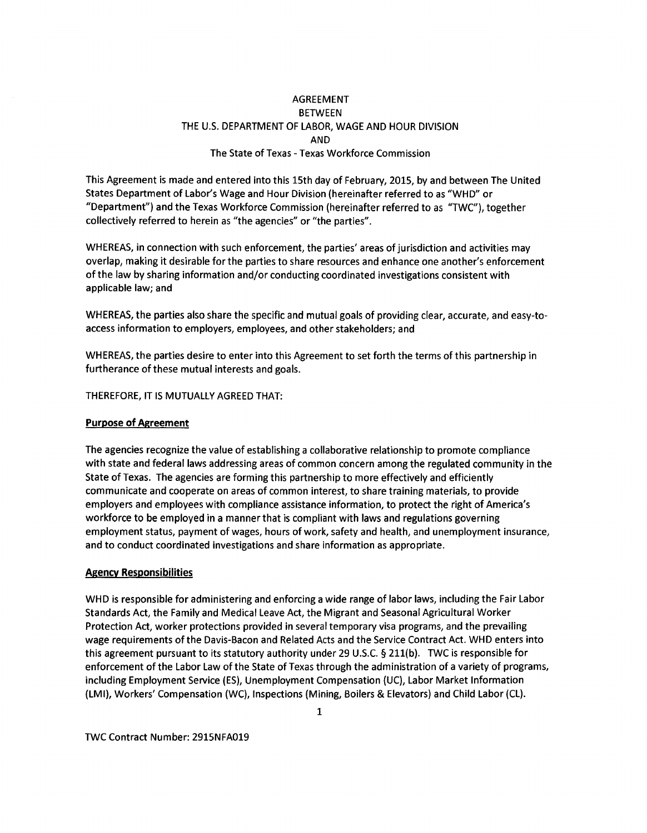# AGREEMENT **BETWEEN** THE U.S. DEPARTMENT OF LABOR, WAGE AND HOUR DIVISION AND The State of Texas - Texas Workforce Commission

This Agreement is made and entered into this 15th day of February, 2015, by and between The United States Department of Labor's Wage and Hour Division (hereinafter referred to as "WHO" or "Department") and the Texas Workforce Commission (hereinafter referred to as "TWC"), together collectively referred to herein as "the agencies" or "the parties".

WHEREAS, in connection with such enforcement, the parties' areas of jurisdiction and activities may overlap, making it desirable for the parties to share resources and enhance one another's enforcement of the law by sharing information and/or conducting coordinated investigations consistent with applicable law; and

WHEREAS, the parties also share the specific and mutual goals of providing clear, accurate, and easy-toaccess information to employers, employees, and other stakeholders; and

WHEREAS, the parties desire to enter into this Agreement to set forth the terms of this partnership in furtherance of these mutual interests and goals.

THEREFORE, IT IS MUTUALLY AGREED THAT:

### **Purpose of Agreement**

The agencies recognize the value of establishing a collaborative relationship to promote compliance with state and federal laws addressing areas of common concern among the regulated community in the State of Texas. The agencies are forming this partnership to more effectively and efficiently communicate and cooperate on areas of common interest, to share training materials, to provide employers and employees with compliance assistance information, to protect the right of America's workforce to be employed in a manner that is compliant with laws and regulations governing employment status, payment of wages, hours of work, safety and health, and unemployment insurance, and to conduct coordinated investigations and share information as appropriate.

### **Agency Responsibilities**

WHO is responsible for administering and enforcing a wide range of labor laws, including the Fair Labor Standards Act, the Family and Medical Leave Act, the Migrant and Seasonal Agricultural Worker Protection Act, worker protections provided in several temporary visa programs, and the prevailing wage requirements of the Davis-Bacon and Related Acts and the Service Contract Act. WHO enters into this agreement pursuant to its statutory authority under 29 U.S.C. § 211(b). TWC is responsible for enforcement of the Labor Law of the State of Texas through the administration of a variety of programs, including Employment Service (ES), Unemployment Compensation (UC), Labor Market Information (LMI), Workers' Compensation (WC), Inspections (Mining, Boilers & Elevators) and Child Labor (CL).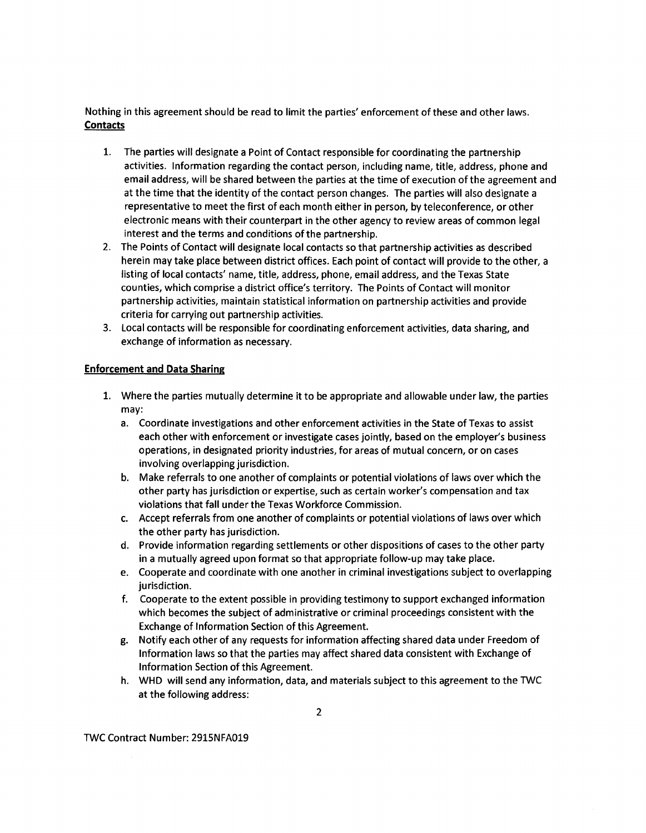Nothing in this agreement should be read to limit the parties' enforcement of these and other laws. **Contacts** 

- 1. The parties will designate a Point of Contact responsible for coordinating the partnership activities. Information regarding the contact person, including name, title, address, phone and email address, will be shared between the parties at the time of execution of the agreement and at the time that the identity of the contact person changes. The parties will also designate a representative to meet the first of each month either in person, by teleconference, or other electronic means with their counterpart in the other agency to review areas of common legal interest and the terms and conditions of the partnership.
- 2. The Points of Contact will designate local contacts so that partnership activities as described herein may take place between district offices. Each point of contact will provide to the other, a listing of local contacts' name, title, address, phone, email address, and the Texas State counties, which comprise a district office's territory. The Points of Contact will monitor partnership activities, maintain statistical information on partnership activities and provide criteria for carrying out partnership activities.
- 3. Local contacts will be responsible for coordinating enforcement activities, data sharing, and exchange of information as necessary.

### **Enforcement and Data Sharing**

- 1. Where the parties mutually determine it to be appropriate and allowable under law, the parties may:
	- a. Coordinate investigations and other enforcement activities in the State of Texas to assist each other with enforcement or investigate cases jointly, based on the employer's business operations, in designated priority industries, for areas of mutual concern, or on cases involving overlapping jurisdiction.
	- b. Make referrals to one another of complaints or potential violations of laws over which the other party has jurisdiction or expertise, such as certain worker's compensation and tax violations that fall under the Texas Workforce Commission.
	- c. Accept referrals from one another of complaints or potential violations of laws over which the other party has jurisdiction.
	- d. Provide information regarding settlements or other dispositions of cases to the other party in a mutually agreed upon format so that appropriate follow-up may take place.
	- e. Cooperate and coordinate with one another in criminal investigations subject to overlapping jurisdiction.
	- f. Cooperate to the extent possible in providing testimony to support exchanged information which becomes the subject of administrative or criminal proceedings consistent with the Exchange of Information Section of this Agreement.
	- g. Notify each other of any requests for information affecting shared data under Freedom of Information laws so that the parties may affect shared data consistent with Exchange of Information Section of this Agreement.
	- h. WHD will send any information, data, and materials subject to this agreement to the TWC at the following address: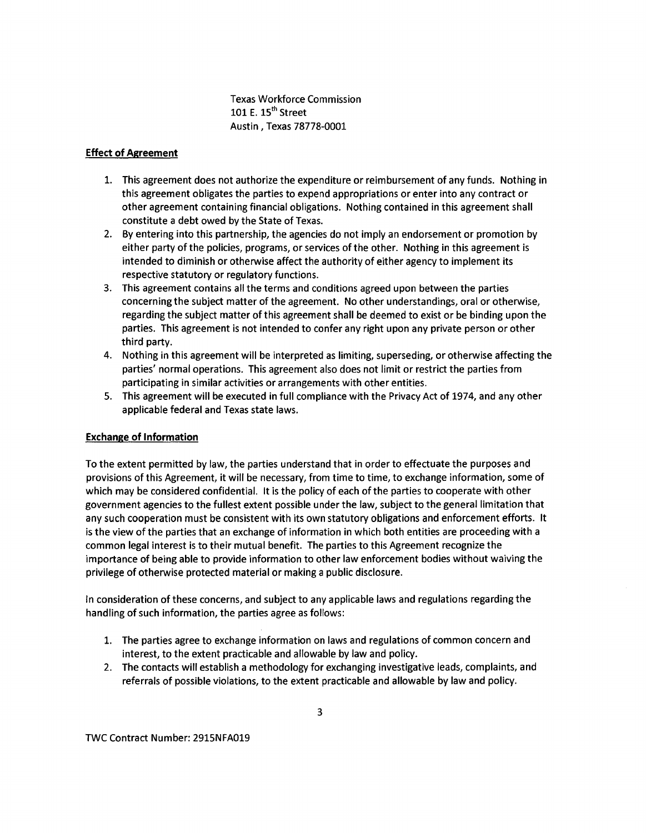Texas Workforce Commission 101 E. 15<sup>th</sup> Street Austin, Texas 78778-0001

## **Effect of Agreement**

- 1. This agreement does not authorize the expenditure or reimbursement of any funds. Nothing in this agreement obligates the parties to expend appropriations or enter into any contract or other agreement containing financial obligations. Nothing contained in this agreement shall constitute a debt owed by the State of Texas.
- 2. By entering into this partnership, the agencies do not imply an endorsement or promotion by either party of the policies, programs, or services of the other. Nothing in this agreement is intended to diminish or otherwise affect the authority of either agency to implement its respective statutory or regulatory functions.
- 3. This agreement contains all the terms and conditions agreed upon between the parties concerning the subject matter of the agreement. No other understandings, oral or otherwise, regarding the subject matter of this agreement shall be deemed to exist or be binding upon the parties. This agreement is not intended to confer any right upon any private person or other third party.
- 4. Nothing in this agreement will be interpreted as limiting, superseding, or otherwise affecting the parties' normal operations. This agreement also does not limit or restrict the parties from participating in similar activities or arrangements with other entities.
- 5. This agreement will be executed in full compliance with the Privacy Act of 1974, and any other applicable federal and Texas state laws.

## **Exchange of Information**

To the extent permitted by law, the parties understand that in order to effectuate the purposes and provisions of this Agreement, it will be necessary, from time to time, to exchange information, some of which may be considered confidential. It is the policy of each of the parties to cooperate with other government agencies to the fullest extent possible under the law, subject to the general limitation that any such cooperation must be consistent with its own statutory obligations and enforcement efforts. It is the view of the parties that an exchange of information in which both entities are proceeding with a common legal interest is to their mutual benefit. The parties to this Agreement recognize the importance of being able to provide information to other law enforcement bodies without waiving the privilege of otherwise protected material or making a public disclosure.

In consideration of these concerns, and subject to any applicable laws and regulations regarding the handling of such information, the parties agree as follows:

- 1. The parties agree to exchange information on laws and regulations of common concern and interest, to the extent practicable and allowable by law and policy.
- 2. The contacts will establish a methodology for exchanging investigative leads, complaints, and referrals of possible violations, to the extent practicable and allowable by law and policy.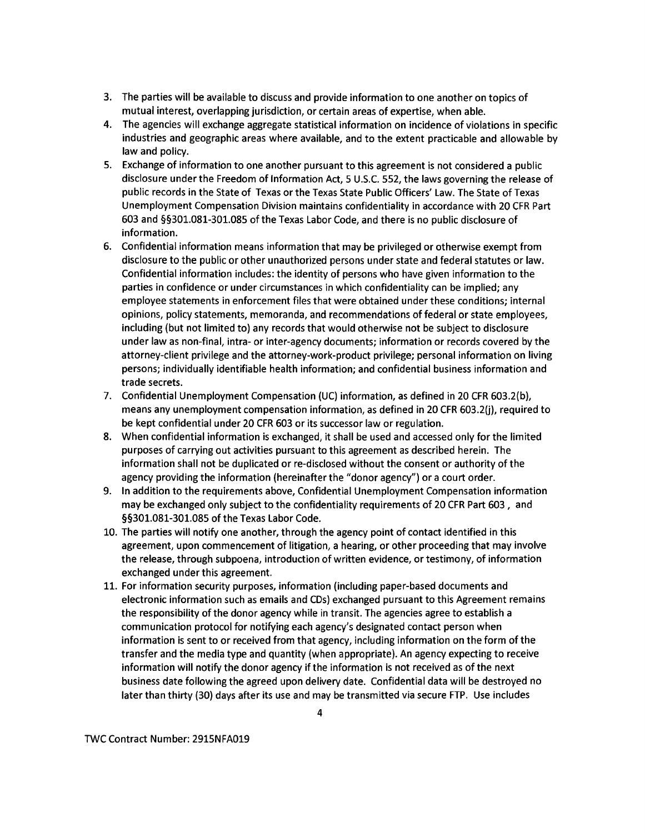- 3. The parties will be available to discuss and provide information to one another on topics of mutual interest, overlapping jurisdiction, or certain areas of expertise, when able.
- 4. The agencies will exchange aggregate statistical information on incidence of violations in specific industries and geographic areas where available, and to the extent practicable and allowable by law and policy.
- 5. Exchange of information to one another pursuant to this agreement is not considered a public disclosure under the Freedom of Information Act, 5 U.S.C. 552, the laws governing the release of public records in the State of Texas or the Texas State Public Officers' Law. The State of Texas Unemployment Compensation Division maintains confidentiality in accordance with 20 CFR Part 603 and §§301.081-301.085 ofthe Texas Labor Code, and there is no public disclosure of information.
- 6. Confidential information means information that may be privileged or otherwise exempt from disclosure to the public or other unauthorized persons under state and federal statutes or law. Confidential information includes: the identity of persons who have given information to the parties in confidence or under circumstances in which confidentiality can be implied; any employee statements in enforcement files that were obtained under these conditions; internal opinions, policy statements, memoranda, and recommendations of federal or state employees, including (but not limited to) any records that would otherwise not be subject to disclosure under law as non-final, intra- or inter-agency documents; information or records covered by the attorney-client privilege and the attorney-work-product privilege; personal information on living persons; individually identifiable health information; and confidential business information and trade secrets.
- 7. Confidential Unemployment Compensation (UC) information, as defined in 20 CFR 603.2(b), means any unemployment compensation information, as defined in 20 CFR 603.2(j), required to be kept confidential under 20 CFR 603 or its successor law or regulation.
- 8. When confidential information is exchanged, it shall be used and accessed only for the limited purposes of carrying out activities pursuant to this agreement as described herein. The information shall not be duplicated or re-disclosed without the consent or authority of the agency providing the information (hereinafter the "donor agency") or a court order.
- 9. In addition to the requirements above, Confidential Unemployment Compensation information may be exchanged only subject to the confidentiality requirements of 20 CFR Part 603 , and §§301.081-301.085 of the Texas Labor Code.
- 10. The parties will notify one another, through the agency point of contact identified in this agreement, upon commencement of litigation, a hearing, or other proceeding that may involve the release, through subpoena, introduction of written evidence, or testimony, of information exchanged under this agreement.
- 11. For information security purposes, information (including paper-based documents and electronic information such as emails and CDs) exchanged pursuant to this Agreement remains the responsibility of the donor agency while in transit. The agencies agree to establish a communication protocol for notifying each agency's designated contact person when information is sent to or received from that agency, including information on the form of the transfer and the media type and quantity (when appropriate). An agency expecting to receive information will notify the donor agency if the information is not received as of the next business date following the agreed upon delivery date. Confidential data will be destroyed no later than thirty (30) days after its use and may be transmitted via secure FTP. Use includes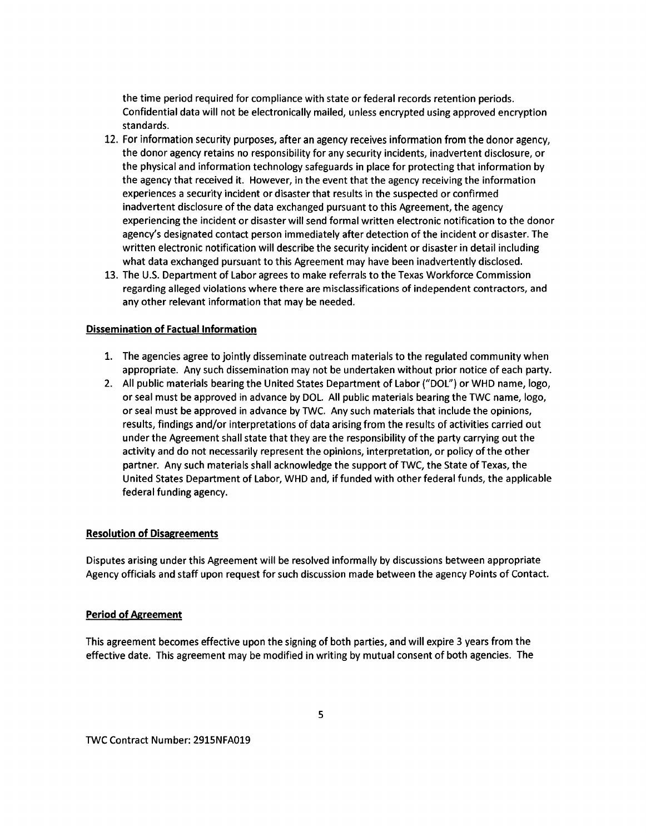the time period required for compliance with state or federal records retention periods. Confidential data will not be electronically mailed, unless encrypted using approved encryption standards.

- 12. For information security purposes, after an agency receives information from the donor agency, the donor agency retains no responsibility for any security incidents, inadvertent disclosure, or the physical and information technology safeguards in place for protecting that information by the agency that received it. However, in the event that the agency receiving the information experiences a security incident or disaster that results in the suspected or confirmed inadvertent disclosure of the data exchanged pursuant to this Agreement, the agency experiencing the incident or disaster will send formal written electronic notification to the donor agency's designated contact person immediately after detection of the incident or disaster. The written electronic notification will describe the security incident or disaster in detail including what data exchanged pursuant to this Agreement may have been inadvertently disclosed.
- 13. The U.S. Department of Labor agrees to make referrals to the Texas Workforce Commission regarding alleged violations where there are misclassifications of independent contractors, and any other relevant information that may be needed.

### **Dissemination of Factual Information**

- 1. The agencies agree to jointly disseminate outreach materials to the regulated community when appropriate. Any such dissemination may not be undertaken without prior notice of each party.
- 2. All public materials bearing the United States Department of Labor ("DOL") or WHO name, logo, or seal must be approved in advance by DOL. All public materials bearing the TWC name, logo, or seal must be approved in advance by TWC. Any such materials that include the opinions, results, findings and/or interpretations of data arising from the results of activities carried out under the Agreement shall state that they are the responsibility of the party carrying out the activity and do not necessarily represent the opinions, interpretation, or policy of the other partner. Any such materials shall acknowledge the support of TWC, the State of Texas, the United States Department of Labor, WHO and, if funded with other federal funds, the applicable federal funding agency.

### **Resolution of Disagreements**

Disputes arising under this Agreement will be resolved informally by discussions between appropriate Agency officials and staff upon request for such discussion made between the agency Points of Contact.

### **Period of Agreement**

This agreement becomes effective upon the signing of both parties, and will expire 3 years from the effective date. This agreement may be modified in writing by mutual consent of both agencies. The